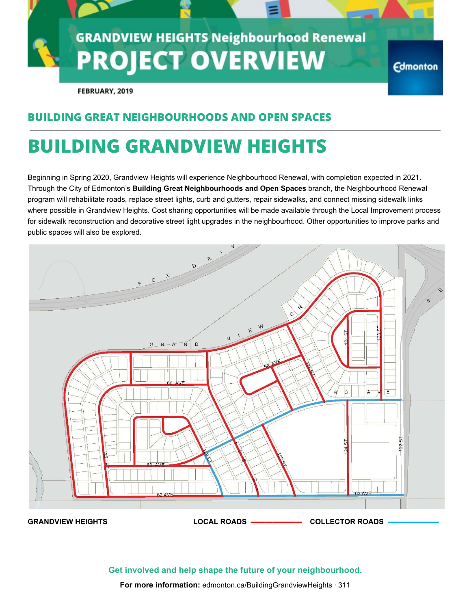

FEBRUARY, 2019

### **BUILDING GREAT NEIGHBOURHOODS AND OPEN SPACES**

## **BUILDING GRANDVIEW HEIGHTS**

Beginning in Spring 2020, Grandview Heights will experience Neighbourhood Renewal, with completion expected in 2021. Through the City of Edmonton's **Building Great Neighbourhoods and Open Spaces** branch, the Neighbourhood Renewal program will rehabilitate roads, replace street lights, curb and gutters, repair sidewalks, and connect missing sidewalk links where possible in Grandview Heights. Cost sharing opportunities will be made available through the Local Improvement process for sidewalk reconstruction and decorative street light upgrades in the neighbourhood. Other opportunities to improve parks and public spaces will also be explored.



**Get involved and help shape the future of your neighbourhood.**

**For more information:** edmonton.ca/BuildingGrandviewHeights · 311